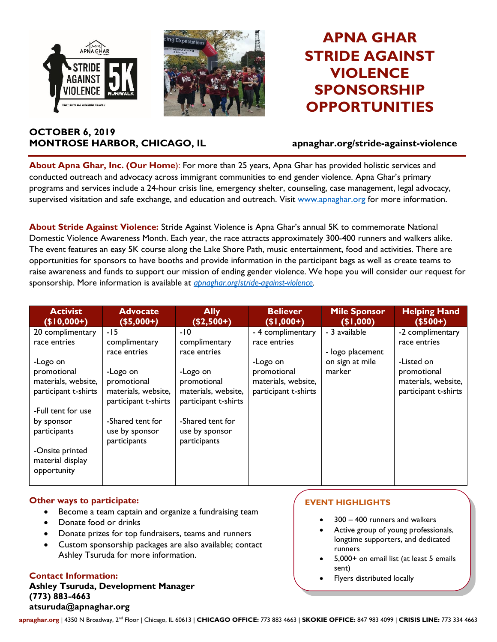



# **APNA GHAR STRIDE AGAINST VIOLENCE SPONSORSHIP OPPORTUNITIES**

# **OCTOBER 6, 2019 MONTROSE HARBOR, CHICAGO, IL apnaghar.org/stride-against-violence**

**About Apna Ghar, Inc. (Our Home**): For more than 25 years, Apna Ghar has provided holistic services and conducted outreach and advocacy across immigrant communities to end gender violence. Apna Ghar's primary programs and services include a 24-hour crisis line, emergency shelter, counseling, case management, legal advocacy, supervised visitation and safe exchange, and education and outreach. Visit [www.apnaghar.org](http://www.apnaghar.org/) for more information.

**About Stride Against Violence:** Stride Against Violence is Apna Ghar's annual 5K to commemorate National Domestic Violence Awareness Month. Each year, the race attracts approximately 300-400 runners and walkers alike. The event features an easy 5K course along the Lake Shore Path, music entertainment, food and activities. There are opportunities for sponsors to have booths and provide information in the participant bags as well as create teams to raise awareness and funds to support our mission of ending gender violence. We hope you will consider our request for sponsorship. More information is available at *[apnaghar.org/stride-against-violence.](http://www.apnaghar.org/stride-against-violence)*

| <b>Activist</b><br>$($10,000+)$ | <b>Advocate</b><br>$($5,000+)$ | <b>Ally</b><br>$($ \$2,500+) $^{\circ}$ | <b>Believer</b><br>$(1,000+)$ | <b>Mile Sponsor</b><br>(91,000) | <b>Helping Hand</b><br>$($500+)$ |
|---------------------------------|--------------------------------|-----------------------------------------|-------------------------------|---------------------------------|----------------------------------|
| 20 complimentary                | -15                            | $-10$                                   | - 4 complimentary             | - 3 available                   | -2 complimentary                 |
| race entries                    | complimentary                  | complimentary                           | race entries                  |                                 | race entries                     |
|                                 | race entries                   | race entries                            |                               | - logo placement                |                                  |
| -Logo on                        |                                |                                         | -Logo on                      | on sign at mile                 | -Listed on                       |
| promotional                     | -Logo on                       | -Logo on                                | promotional                   | marker                          | promotional                      |
| materials, website,             | promotional                    | promotional                             | materials, website,           |                                 | materials, website,              |
| participant t-shirts            | materials, website,            | materials, website,                     | participant t-shirts          |                                 | participant t-shirts             |
|                                 | participant t-shirts           | participant t-shirts                    |                               |                                 |                                  |
| -Full tent for use              |                                |                                         |                               |                                 |                                  |
| by sponsor                      | -Shared tent for               | -Shared tent for                        |                               |                                 |                                  |
| participants                    | use by sponsor                 | use by sponsor                          |                               |                                 |                                  |
|                                 | participants                   | participants                            |                               |                                 |                                  |
| -Onsite printed                 |                                |                                         |                               |                                 |                                  |
| material display                |                                |                                         |                               |                                 |                                  |
| opportunity                     |                                |                                         |                               |                                 |                                  |
|                                 |                                |                                         |                               |                                 |                                  |

### **Other ways to participate:**

- Become a team captain and organize a fundraising team
- Donate food or drinks
- Donate prizes for top fundraisers, teams and runners
- Custom sponsorship packages are also available; contact Ashley Tsuruda for more information.

### **Contact Information:**

**Ashley Tsuruda, Development Manager (773) 883-4663 atsuruda@apnaghar.org**

# **EVENT HIGHLIGHTS**

- $300 400$  runners and walkers
- Active group of young professionals, longtime supporters, and dedicated runners
- 5,000+ on email list (at least 5 emails sent)
- Flyers distributed locally

**apnaghar.org** | 4350 N Broadway, 2nd Floor | Chicago, IL 60613 | **CHICAGO OFFICE:** 773 883 4663 | **SKOKIE OFFICE:** 847 983 4099 | **CRISIS LINE:** 773 334 4663